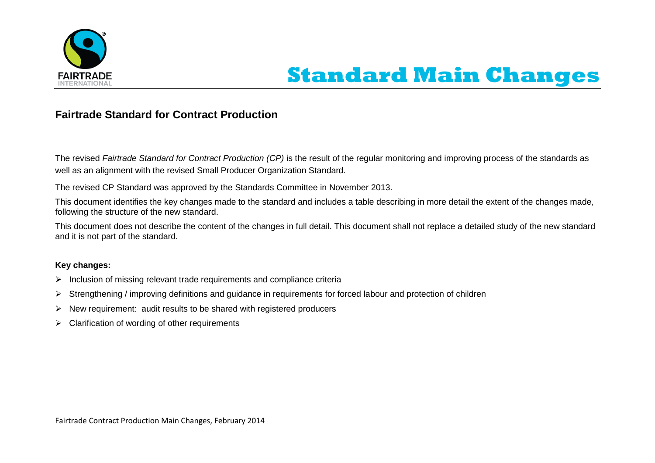

## **Standard Main Changes**

## **Fairtrade Standard for Contract Production**

The revised *Fairtrade Standard for Contract Production (CP)* is the result of the regular monitoring and improving process of the standards as well as an alignment with the revised Small Producer Organization Standard.

The revised CP Standard was approved by the Standards Committee in November 2013.

This document identifies the key changes made to the standard and includes a table describing in more detail the extent of the changes made, following the structure of the new standard.

This document does not describe the content of the changes in full detail. This document shall not replace a detailed study of the new standard and it is not part of the standard.

## **Key changes:**

- $\triangleright$  Inclusion of missing relevant trade requirements and compliance criteria
- $\triangleright$  Strengthening / improving definitions and guidance in requirements for forced labour and protection of children
- $\triangleright$  New requirement: audit results to be shared with registered producers
- $\triangleright$  Clarification of wording of other requirements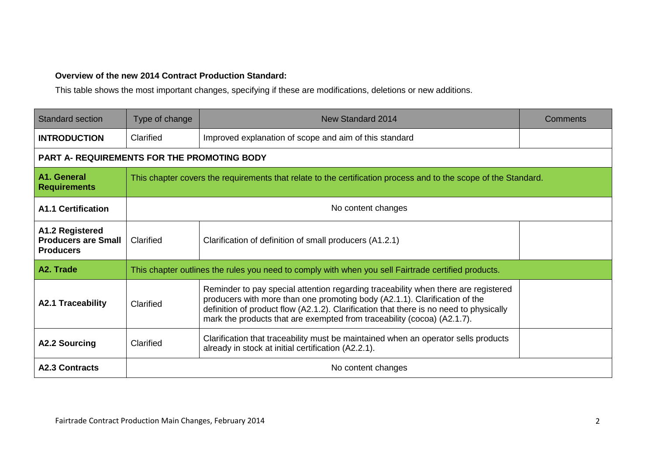## **Overview of the new 2014 Contract Production Standard:**

This table shows the most important changes, specifying if these are modifications, deletions or new additions.

| <b>Standard section</b>                                           | Type of change                                                                                                  | New Standard 2014                                                                                                                                                                                                                                                                                                                     | Comments |
|-------------------------------------------------------------------|-----------------------------------------------------------------------------------------------------------------|---------------------------------------------------------------------------------------------------------------------------------------------------------------------------------------------------------------------------------------------------------------------------------------------------------------------------------------|----------|
| <b>INTRODUCTION</b>                                               | Clarified                                                                                                       | Improved explanation of scope and aim of this standard                                                                                                                                                                                                                                                                                |          |
| PART A- REQUIREMENTS FOR THE PROMOTING BODY                       |                                                                                                                 |                                                                                                                                                                                                                                                                                                                                       |          |
| A1. General<br><b>Requirements</b>                                | This chapter covers the requirements that relate to the certification process and to the scope of the Standard. |                                                                                                                                                                                                                                                                                                                                       |          |
| <b>A1.1 Certification</b>                                         | No content changes                                                                                              |                                                                                                                                                                                                                                                                                                                                       |          |
| A1.2 Registered<br><b>Producers are Small</b><br><b>Producers</b> | Clarified                                                                                                       | Clarification of definition of small producers (A1.2.1)                                                                                                                                                                                                                                                                               |          |
| A2. Trade                                                         | This chapter outlines the rules you need to comply with when you sell Fairtrade certified products.             |                                                                                                                                                                                                                                                                                                                                       |          |
| <b>A2.1 Traceability</b>                                          | Clarified                                                                                                       | Reminder to pay special attention regarding traceability when there are registered<br>producers with more than one promoting body (A2.1.1). Clarification of the<br>definition of product flow (A2.1.2). Clarification that there is no need to physically<br>mark the products that are exempted from traceability (cocoa) (A2.1.7). |          |
| <b>A2.2 Sourcing</b>                                              | Clarified                                                                                                       | Clarification that traceability must be maintained when an operator sells products<br>already in stock at initial certification (A2.2.1).                                                                                                                                                                                             |          |
| <b>A2.3 Contracts</b>                                             | No content changes                                                                                              |                                                                                                                                                                                                                                                                                                                                       |          |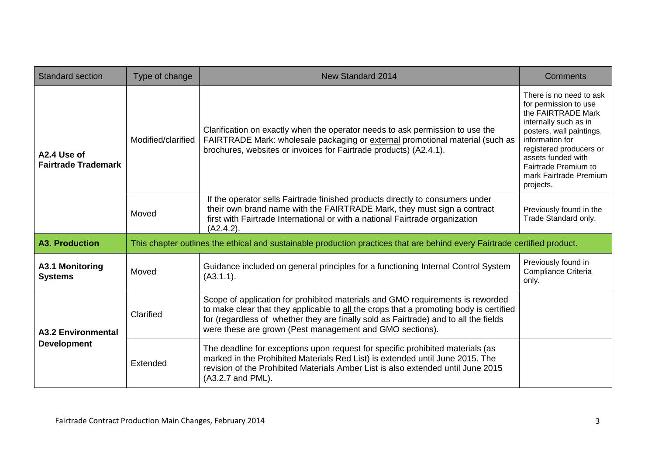| <b>Standard section</b>                         | Type of change                                                                                                            | <b>New Standard 2014</b>                                                                                                                                                                                                                                                                                                     | <b>Comments</b>                                                                                                                                                                                                                                                |
|-------------------------------------------------|---------------------------------------------------------------------------------------------------------------------------|------------------------------------------------------------------------------------------------------------------------------------------------------------------------------------------------------------------------------------------------------------------------------------------------------------------------------|----------------------------------------------------------------------------------------------------------------------------------------------------------------------------------------------------------------------------------------------------------------|
| A2.4 Use of<br><b>Fairtrade Trademark</b>       | Modified/clarified                                                                                                        | Clarification on exactly when the operator needs to ask permission to use the<br>FAIRTRADE Mark: wholesale packaging or external promotional material (such as<br>brochures, websites or invoices for Fairtrade products) (A2.4.1).                                                                                          | There is no need to ask<br>for permission to use<br>the FAIRTRADE Mark<br>internally such as in<br>posters, wall paintings,<br>information for<br>registered producers or<br>assets funded with<br>Fairtrade Premium to<br>mark Fairtrade Premium<br>projects. |
|                                                 | Moved                                                                                                                     | If the operator sells Fairtrade finished products directly to consumers under<br>their own brand name with the FAIRTRADE Mark, they must sign a contract<br>first with Fairtrade International or with a national Fairtrade organization<br>(A2.4.2).                                                                        | Previously found in the<br>Trade Standard only.                                                                                                                                                                                                                |
| <b>A3. Production</b>                           | This chapter outlines the ethical and sustainable production practices that are behind every Fairtrade certified product. |                                                                                                                                                                                                                                                                                                                              |                                                                                                                                                                                                                                                                |
| A3.1 Monitoring<br><b>Systems</b>               | Moved                                                                                                                     | Guidance included on general principles for a functioning Internal Control System<br>(A3.1.1).                                                                                                                                                                                                                               | Previously found in<br>Compliance Criteria<br>only.                                                                                                                                                                                                            |
| <b>A3.2 Environmental</b><br><b>Development</b> | Clarified                                                                                                                 | Scope of application for prohibited materials and GMO requirements is reworded<br>to make clear that they applicable to all the crops that a promoting body is certified<br>for (regardless of whether they are finally sold as Fairtrade) and to all the fields<br>were these are grown (Pest management and GMO sections). |                                                                                                                                                                                                                                                                |
|                                                 | Extended                                                                                                                  | The deadline for exceptions upon request for specific prohibited materials (as<br>marked in the Prohibited Materials Red List) is extended until June 2015. The<br>revision of the Prohibited Materials Amber List is also extended until June 2015<br>(A3.2.7 and PML).                                                     |                                                                                                                                                                                                                                                                |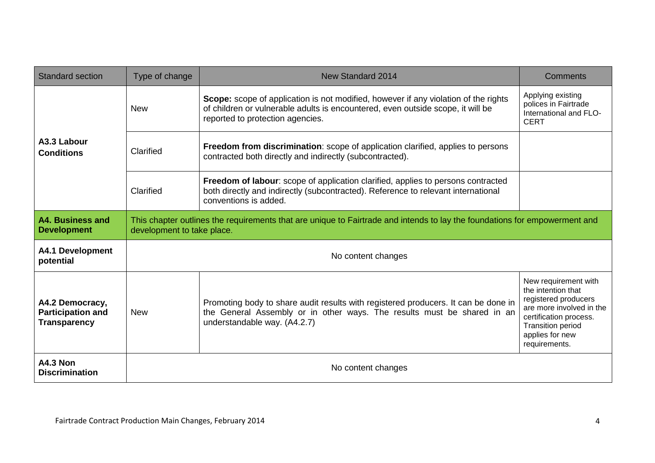| <b>Standard section</b>                                            | Type of change                                                                                                                                           | New Standard 2014                                                                                                                                                                                                 | <b>Comments</b>                                                                                                                                                                          |  |
|--------------------------------------------------------------------|----------------------------------------------------------------------------------------------------------------------------------------------------------|-------------------------------------------------------------------------------------------------------------------------------------------------------------------------------------------------------------------|------------------------------------------------------------------------------------------------------------------------------------------------------------------------------------------|--|
| A3.3 Labour<br><b>Conditions</b>                                   | <b>New</b>                                                                                                                                               | <b>Scope:</b> scope of application is not modified, however if any violation of the rights<br>of children or vulnerable adults is encountered, even outside scope, it will be<br>reported to protection agencies. | Applying existing<br>polices in Fairtrade<br>International and FLO-<br><b>CERT</b>                                                                                                       |  |
|                                                                    | Clarified                                                                                                                                                | Freedom from discrimination: scope of application clarified, applies to persons<br>contracted both directly and indirectly (subcontracted).                                                                       |                                                                                                                                                                                          |  |
|                                                                    | Clarified                                                                                                                                                | Freedom of labour: scope of application clarified, applies to persons contracted<br>both directly and indirectly (subcontracted). Reference to relevant international<br>conventions is added.                    |                                                                                                                                                                                          |  |
| A4. Business and<br><b>Development</b>                             | This chapter outlines the requirements that are unique to Fairtrade and intends to lay the foundations for empowerment and<br>development to take place. |                                                                                                                                                                                                                   |                                                                                                                                                                                          |  |
| <b>A4.1 Development</b><br>potential                               |                                                                                                                                                          | No content changes                                                                                                                                                                                                |                                                                                                                                                                                          |  |
| A4.2 Democracy,<br><b>Participation and</b><br><b>Transparency</b> | <b>New</b>                                                                                                                                               | Promoting body to share audit results with registered producers. It can be done in<br>the General Assembly or in other ways. The results must be shared in an<br>understandable way. (A4.2.7)                     | New requirement with<br>the intention that<br>registered producers<br>are more involved in the<br>certification process.<br><b>Transition period</b><br>applies for new<br>requirements. |  |
| <b>A4.3 Non</b><br><b>Discrimination</b>                           | No content changes                                                                                                                                       |                                                                                                                                                                                                                   |                                                                                                                                                                                          |  |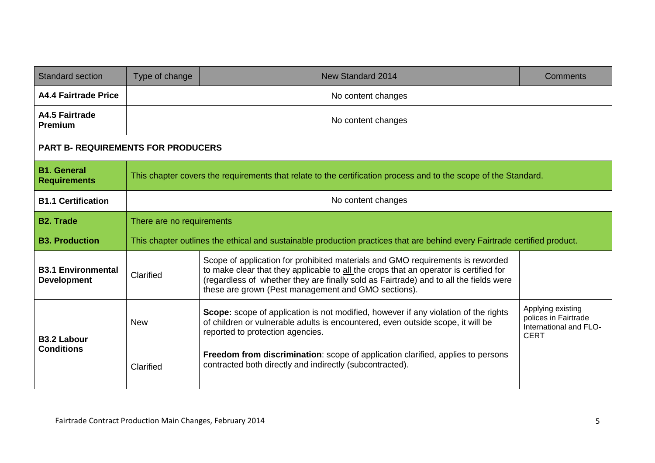| <b>Standard section</b>                         | Type of change                                                                                                            | <b>New Standard 2014</b>                                                                                                                                                                                                                                                                                                | Comments                                                                           |
|-------------------------------------------------|---------------------------------------------------------------------------------------------------------------------------|-------------------------------------------------------------------------------------------------------------------------------------------------------------------------------------------------------------------------------------------------------------------------------------------------------------------------|------------------------------------------------------------------------------------|
| <b>A4.4 Fairtrade Price</b>                     |                                                                                                                           | No content changes                                                                                                                                                                                                                                                                                                      |                                                                                    |
| A4.5 Fairtrade<br><b>Premium</b>                | No content changes                                                                                                        |                                                                                                                                                                                                                                                                                                                         |                                                                                    |
| <b>PART B- REQUIREMENTS FOR PRODUCERS</b>       |                                                                                                                           |                                                                                                                                                                                                                                                                                                                         |                                                                                    |
| <b>B1. General</b><br><b>Requirements</b>       | This chapter covers the requirements that relate to the certification process and to the scope of the Standard.           |                                                                                                                                                                                                                                                                                                                         |                                                                                    |
| <b>B1.1 Certification</b>                       | No content changes                                                                                                        |                                                                                                                                                                                                                                                                                                                         |                                                                                    |
| <b>B2. Trade</b>                                | There are no requirements                                                                                                 |                                                                                                                                                                                                                                                                                                                         |                                                                                    |
| <b>B3. Production</b>                           | This chapter outlines the ethical and sustainable production practices that are behind every Fairtrade certified product. |                                                                                                                                                                                                                                                                                                                         |                                                                                    |
| <b>B3.1 Environmental</b><br><b>Development</b> | Clarified                                                                                                                 | Scope of application for prohibited materials and GMO requirements is reworded<br>to make clear that they applicable to all the crops that an operator is certified for<br>(regardless of whether they are finally sold as Fairtrade) and to all the fields were<br>these are grown (Pest management and GMO sections). |                                                                                    |
| <b>B3.2 Labour</b><br><b>Conditions</b>         | <b>New</b>                                                                                                                | Scope: scope of application is not modified, however if any violation of the rights<br>of children or vulnerable adults is encountered, even outside scope, it will be<br>reported to protection agencies.                                                                                                              | Applying existing<br>polices in Fairtrade<br>International and FLO-<br><b>CERT</b> |
|                                                 | Clarified                                                                                                                 | Freedom from discrimination: scope of application clarified, applies to persons<br>contracted both directly and indirectly (subcontracted).                                                                                                                                                                             |                                                                                    |